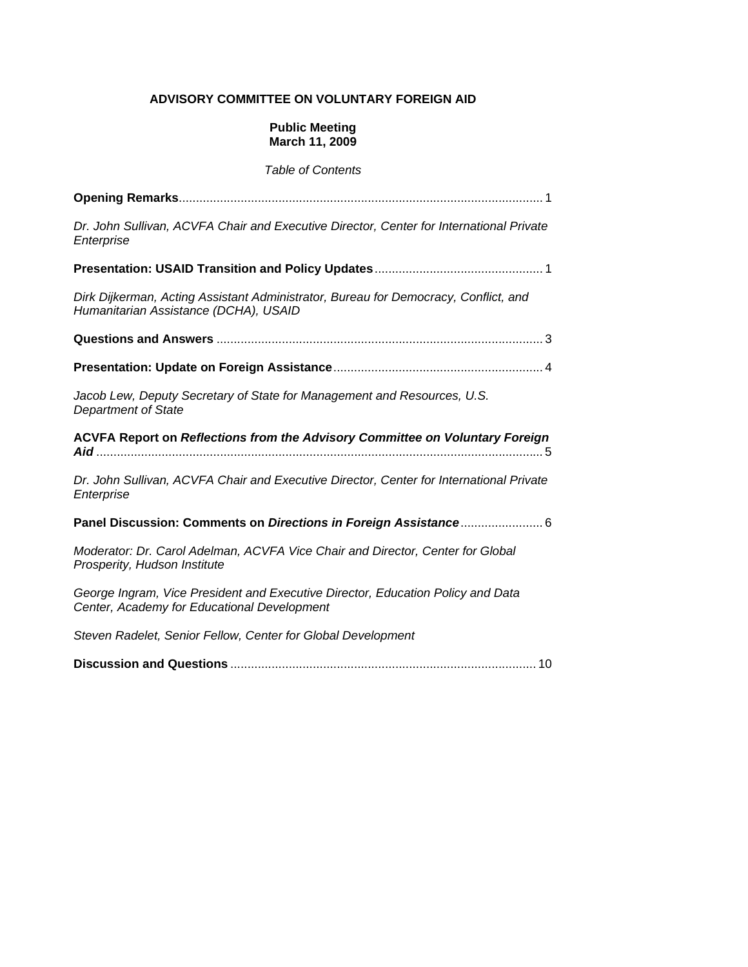# **ADVISORY COMMITTEE ON VOLUNTARY FOREIGN AID**

## **Public Meeting March 11, 2009**

# *Table of Contents*

| Dr. John Sullivan, ACVFA Chair and Executive Director, Center for International Private<br>Enterprise                          |
|--------------------------------------------------------------------------------------------------------------------------------|
|                                                                                                                                |
| Dirk Dijkerman, Acting Assistant Administrator, Bureau for Democracy, Conflict, and<br>Humanitarian Assistance (DCHA), USAID   |
|                                                                                                                                |
|                                                                                                                                |
| Jacob Lew, Deputy Secretary of State for Management and Resources, U.S.<br><b>Department of State</b>                          |
|                                                                                                                                |
| ACVFA Report on Reflections from the Advisory Committee on Voluntary Foreign                                                   |
| Dr. John Sullivan, ACVFA Chair and Executive Director, Center for International Private<br>Enterprise                          |
| Panel Discussion: Comments on Directions in Foreign Assistance 6                                                               |
| Moderator: Dr. Carol Adelman, ACVFA Vice Chair and Director, Center for Global<br>Prosperity, Hudson Institute                 |
| George Ingram, Vice President and Executive Director, Education Policy and Data<br>Center, Academy for Educational Development |
| Steven Radelet, Senior Fellow, Center for Global Development                                                                   |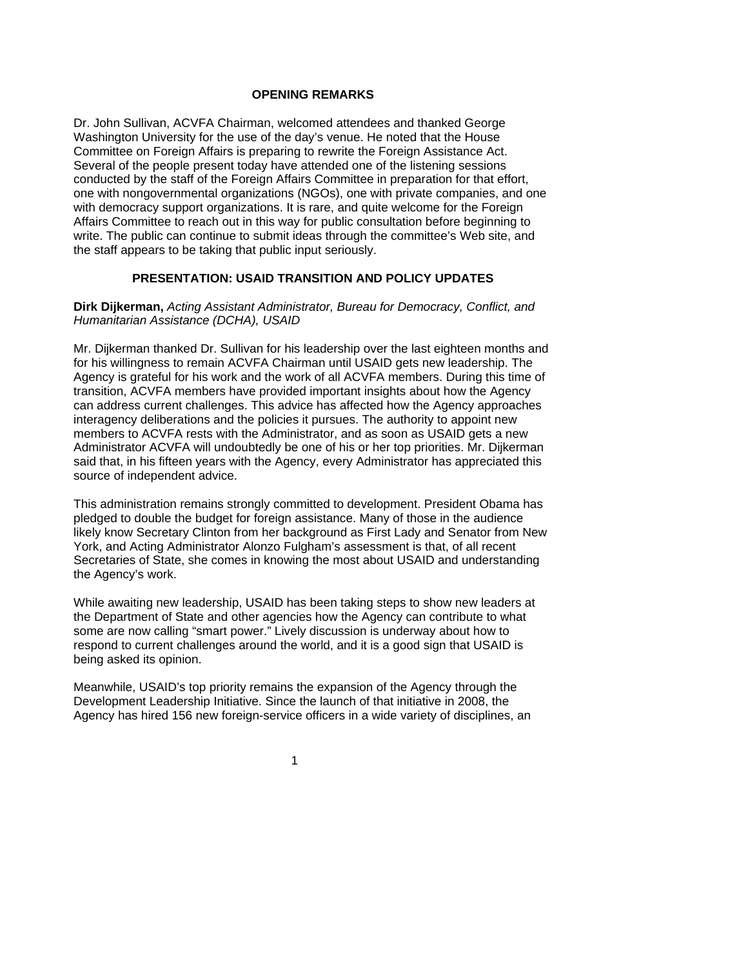## **OPENING REMARKS**

Dr. John Sullivan, ACVFA Chairman, welcomed attendees and thanked George Washington University for the use of the day's venue. He noted that the House Committee on Foreign Affairs is preparing to rewrite the Foreign Assistance Act. Several of the people present today have attended one of the listening sessions conducted by the staff of the Foreign Affairs Committee in preparation for that effort, one with nongovernmental organizations (NGOs), one with private companies, and one with democracy support organizations. It is rare, and quite welcome for the Foreign Affairs Committee to reach out in this way for public consultation before beginning to write. The public can continue to submit ideas through the committee's Web site, and the staff appears to be taking that public input seriously.

# **PRESENTATION: USAID TRANSITION AND POLICY UPDATES**

#### **Dirk Dijkerman,** *Acting Assistant Administrator, Bureau for Democracy, Conflict, and Humanitarian Assistance (DCHA), USAID*

Mr. Dijkerman thanked Dr. Sullivan for his leadership over the last eighteen months and for his willingness to remain ACVFA Chairman until USAID gets new leadership. The Agency is grateful for his work and the work of all ACVFA members. During this time of transition, ACVFA members have provided important insights about how the Agency can address current challenges. This advice has affected how the Agency approaches interagency deliberations and the policies it pursues. The authority to appoint new members to ACVFA rests with the Administrator, and as soon as USAID gets a new Administrator ACVFA will undoubtedly be one of his or her top priorities. Mr. Dijkerman said that, in his fifteen years with the Agency, every Administrator has appreciated this source of independent advice.

This administration remains strongly committed to development. President Obama has pledged to double the budget for foreign assistance. Many of those in the audience likely know Secretary Clinton from her background as First Lady and Senator from New York, and Acting Administrator Alonzo Fulgham's assessment is that, of all recent Secretaries of State, she comes in knowing the most about USAID and understanding the Agency's work.

While awaiting new leadership, USAID has been taking steps to show new leaders at the Department of State and other agencies how the Agency can contribute to what some are now calling "smart power." Lively discussion is underway about how to respond to current challenges around the world, and it is a good sign that USAID is being asked its opinion.

Meanwhile, USAID's top priority remains the expansion of the Agency through the Development Leadership Initiative. Since the launch of that initiative in 2008, the Agency has hired 156 new foreign-service officers in a wide variety of disciplines, an

 $\sim$  1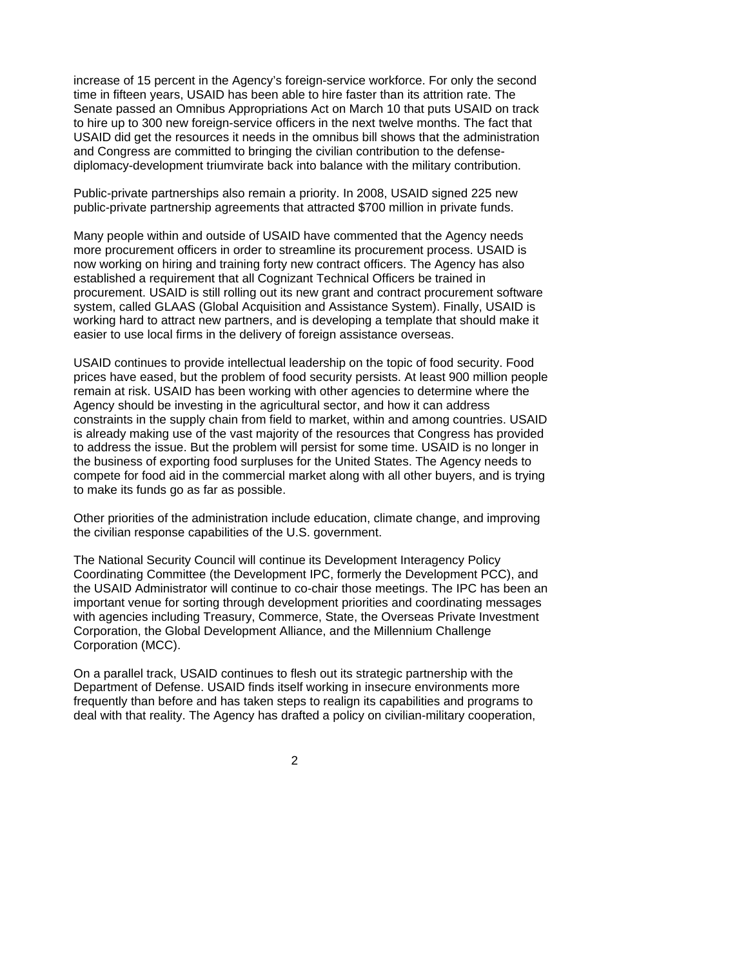increase of 15 percent in the Agency's foreign-service workforce. For only the second time in fifteen years, USAID has been able to hire faster than its attrition rate. The Senate passed an Omnibus Appropriations Act on March 10 that puts USAID on track to hire up to 300 new foreign-service officers in the next twelve months. The fact that USAID did get the resources it needs in the omnibus bill shows that the administration and Congress are committed to bringing the civilian contribution to the defensediplomacy-development triumvirate back into balance with the military contribution.

Public-private partnerships also remain a priority. In 2008, USAID signed 225 new public-private partnership agreements that attracted \$700 million in private funds.

Many people within and outside of USAID have commented that the Agency needs more procurement officers in order to streamline its procurement process. USAID is now working on hiring and training forty new contract officers. The Agency has also established a requirement that all Cognizant Technical Officers be trained in procurement. USAID is still rolling out its new grant and contract procurement software system, called GLAAS (Global Acquisition and Assistance System). Finally, USAID is working hard to attract new partners, and is developing a template that should make it easier to use local firms in the delivery of foreign assistance overseas.

USAID continues to provide intellectual leadership on the topic of food security. Food prices have eased, but the problem of food security persists. At least 900 million people remain at risk. USAID has been working with other agencies to determine where the Agency should be investing in the agricultural sector, and how it can address constraints in the supply chain from field to market, within and among countries. USAID is already making use of the vast majority of the resources that Congress has provided to address the issue. But the problem will persist for some time. USAID is no longer in the business of exporting food surpluses for the United States. The Agency needs to compete for food aid in the commercial market along with all other buyers, and is trying to make its funds go as far as possible.

Other priorities of the administration include education, climate change, and improving the civilian response capabilities of the U.S. government.

The National Security Council will continue its Development Interagency Policy Coordinating Committee (the Development IPC, formerly the Development PCC), and the USAID Administrator will continue to co-chair those meetings. The IPC has been an important venue for sorting through development priorities and coordinating messages with agencies including Treasury, Commerce, State, the Overseas Private Investment Corporation, the Global Development Alliance, and the Millennium Challenge Corporation (MCC).

On a parallel track, USAID continues to flesh out its strategic partnership with the Department of Defense. USAID finds itself working in insecure environments more frequently than before and has taken steps to realign its capabilities and programs to deal with that reality. The Agency has drafted a policy on civilian-military cooperation,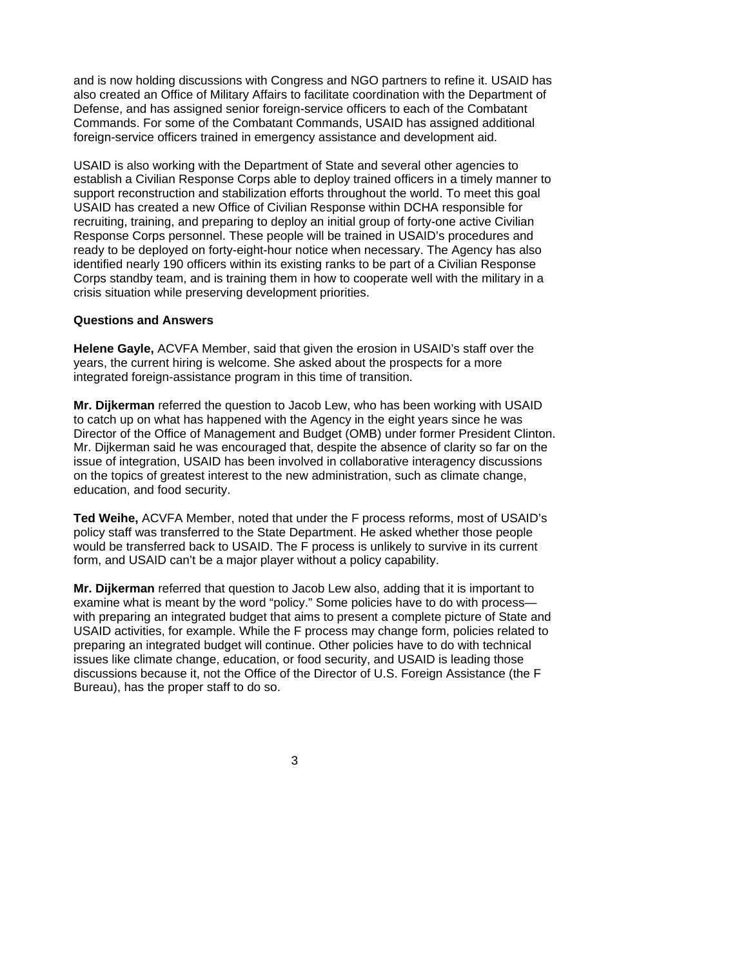and is now holding discussions with Congress and NGO partners to refine it. USAID has also created an Office of Military Affairs to facilitate coordination with the Department of Defense, and has assigned senior foreign-service officers to each of the Combatant Commands. For some of the Combatant Commands, USAID has assigned additional foreign-service officers trained in emergency assistance and development aid.

USAID is also working with the Department of State and several other agencies to establish a Civilian Response Corps able to deploy trained officers in a timely manner to support reconstruction and stabilization efforts throughout the world. To meet this goal USAID has created a new Office of Civilian Response within DCHA responsible for recruiting, training, and preparing to deploy an initial group of forty-one active Civilian Response Corps personnel. These people will be trained in USAID's procedures and ready to be deployed on forty-eight-hour notice when necessary. The Agency has also identified nearly 190 officers within its existing ranks to be part of a Civilian Response Corps standby team, and is training them in how to cooperate well with the military in a crisis situation while preserving development priorities.

#### **Questions and Answers**

**Helene Gayle,** ACVFA Member, said that given the erosion in USAID's staff over the years, the current hiring is welcome. She asked about the prospects for a more integrated foreign-assistance program in this time of transition.

**Mr. Dijkerman** referred the question to Jacob Lew, who has been working with USAID to catch up on what has happened with the Agency in the eight years since he was Director of the Office of Management and Budget (OMB) under former President Clinton. Mr. Dijkerman said he was encouraged that, despite the absence of clarity so far on the issue of integration, USAID has been involved in collaborative interagency discussions on the topics of greatest interest to the new administration, such as climate change, education, and food security.

**Ted Weihe,** ACVFA Member, noted that under the F process reforms, most of USAID's policy staff was transferred to the State Department. He asked whether those people would be transferred back to USAID. The F process is unlikely to survive in its current form, and USAID can't be a major player without a policy capability.

**Mr. Dijkerman** referred that question to Jacob Lew also, adding that it is important to examine what is meant by the word "policy." Some policies have to do with process with preparing an integrated budget that aims to present a complete picture of State and USAID activities, for example. While the F process may change form, policies related to preparing an integrated budget will continue. Other policies have to do with technical issues like climate change, education, or food security, and USAID is leading those discussions because it, not the Office of the Director of U.S. Foreign Assistance (the F Bureau), has the proper staff to do so.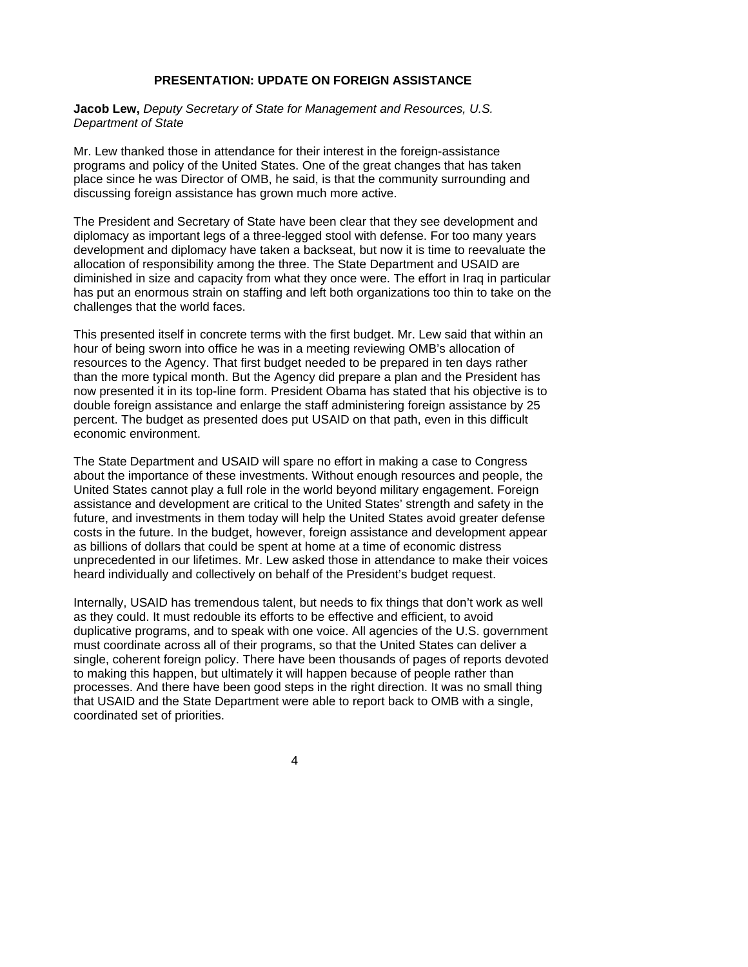## **PRESENTATION: UPDATE ON FOREIGN ASSISTANCE**

**Jacob Lew,** *Deputy Secretary of State for Management and Resources, U.S. Department of State* 

Mr. Lew thanked those in attendance for their interest in the foreign-assistance programs and policy of the United States. One of the great changes that has taken place since he was Director of OMB, he said, is that the community surrounding and discussing foreign assistance has grown much more active.

The President and Secretary of State have been clear that they see development and diplomacy as important legs of a three-legged stool with defense. For too many years development and diplomacy have taken a backseat, but now it is time to reevaluate the allocation of responsibility among the three. The State Department and USAID are diminished in size and capacity from what they once were. The effort in Iraq in particular has put an enormous strain on staffing and left both organizations too thin to take on the challenges that the world faces.

This presented itself in concrete terms with the first budget. Mr. Lew said that within an hour of being sworn into office he was in a meeting reviewing OMB's allocation of resources to the Agency. That first budget needed to be prepared in ten days rather than the more typical month. But the Agency did prepare a plan and the President has now presented it in its top-line form. President Obama has stated that his objective is to double foreign assistance and enlarge the staff administering foreign assistance by 25 percent. The budget as presented does put USAID on that path, even in this difficult economic environment.

The State Department and USAID will spare no effort in making a case to Congress about the importance of these investments. Without enough resources and people, the United States cannot play a full role in the world beyond military engagement. Foreign assistance and development are critical to the United States' strength and safety in the future, and investments in them today will help the United States avoid greater defense costs in the future. In the budget, however, foreign assistance and development appear as billions of dollars that could be spent at home at a time of economic distress unprecedented in our lifetimes. Mr. Lew asked those in attendance to make their voices heard individually and collectively on behalf of the President's budget request.

Internally, USAID has tremendous talent, but needs to fix things that don't work as well as they could. It must redouble its efforts to be effective and efficient, to avoid duplicative programs, and to speak with one voice. All agencies of the U.S. government must coordinate across all of their programs, so that the United States can deliver a single, coherent foreign policy. There have been thousands of pages of reports devoted to making this happen, but ultimately it will happen because of people rather than processes. And there have been good steps in the right direction. It was no small thing that USAID and the State Department were able to report back to OMB with a single, coordinated set of priorities.

4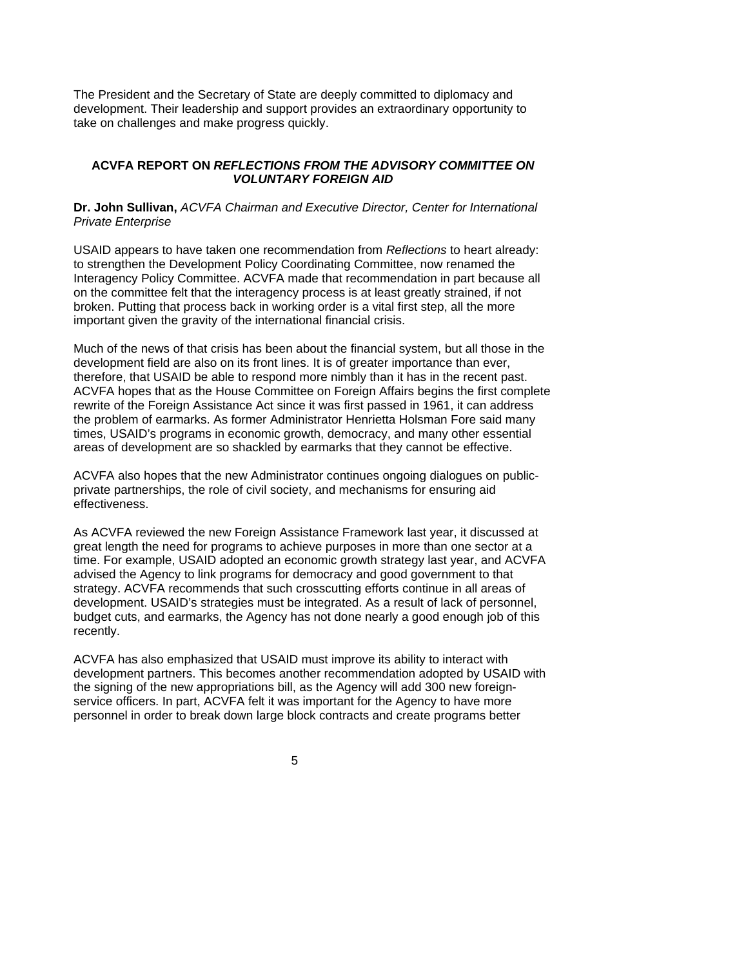The President and the Secretary of State are deeply committed to diplomacy and development. Their leadership and support provides an extraordinary opportunity to take on challenges and make progress quickly.

## **ACVFA REPORT ON** *REFLECTIONS FROM THE ADVISORY COMMITTEE ON VOLUNTARY FOREIGN AID*

### **Dr. John Sullivan,** *ACVFA Chairman and Executive Director, Center for International Private Enterprise*

USAID appears to have taken one recommendation from *Reflections* to heart already: to strengthen the Development Policy Coordinating Committee, now renamed the Interagency Policy Committee. ACVFA made that recommendation in part because all on the committee felt that the interagency process is at least greatly strained, if not broken. Putting that process back in working order is a vital first step, all the more important given the gravity of the international financial crisis.

Much of the news of that crisis has been about the financial system, but all those in the development field are also on its front lines. It is of greater importance than ever, therefore, that USAID be able to respond more nimbly than it has in the recent past. ACVFA hopes that as the House Committee on Foreign Affairs begins the first complete rewrite of the Foreign Assistance Act since it was first passed in 1961, it can address the problem of earmarks. As former Administrator Henrietta Holsman Fore said many times, USAID's programs in economic growth, democracy, and many other essential areas of development are so shackled by earmarks that they cannot be effective.

ACVFA also hopes that the new Administrator continues ongoing dialogues on publicprivate partnerships, the role of civil society, and mechanisms for ensuring aid effectiveness.

As ACVFA reviewed the new Foreign Assistance Framework last year, it discussed at great length the need for programs to achieve purposes in more than one sector at a time. For example, USAID adopted an economic growth strategy last year, and ACVFA advised the Agency to link programs for democracy and good government to that strategy. ACVFA recommends that such crosscutting efforts continue in all areas of development. USAID's strategies must be integrated. As a result of lack of personnel, budget cuts, and earmarks, the Agency has not done nearly a good enough job of this recently.

ACVFA has also emphasized that USAID must improve its ability to interact with development partners. This becomes another recommendation adopted by USAID with the signing of the new appropriations bill, as the Agency will add 300 new foreignservice officers. In part, ACVFA felt it was important for the Agency to have more personnel in order to break down large block contracts and create programs better

 $\sim$  5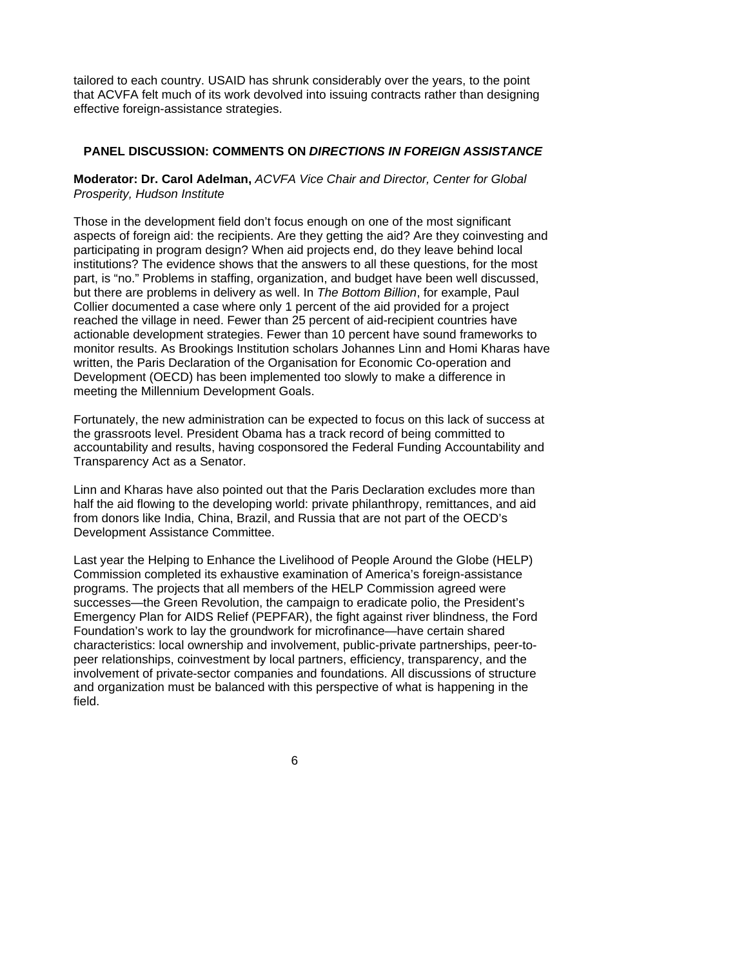tailored to each country. USAID has shrunk considerably over the years, to the point that ACVFA felt much of its work devolved into issuing contracts rather than designing effective foreign-assistance strategies.

#### **PANEL DISCUSSION: COMMENTS ON** *DIRECTIONS IN FOREIGN ASSISTANCE*

### **Moderator: Dr. Carol Adelman,** *ACVFA Vice Chair and Director, Center for Global Prosperity, Hudson Institute*

Those in the development field don't focus enough on one of the most significant aspects of foreign aid: the recipients. Are they getting the aid? Are they coinvesting and participating in program design? When aid projects end, do they leave behind local institutions? The evidence shows that the answers to all these questions, for the most part, is "no." Problems in staffing, organization, and budget have been well discussed, but there are problems in delivery as well. In *The Bottom Billion*, for example, Paul Collier documented a case where only 1 percent of the aid provided for a project reached the village in need. Fewer than 25 percent of aid-recipient countries have actionable development strategies. Fewer than 10 percent have sound frameworks to monitor results. As Brookings Institution scholars Johannes Linn and Homi Kharas have written, the Paris Declaration of the Organisation for Economic Co-operation and Development (OECD) has been implemented too slowly to make a difference in meeting the Millennium Development Goals.

Fortunately, the new administration can be expected to focus on this lack of success at the grassroots level. President Obama has a track record of being committed to accountability and results, having cosponsored the Federal Funding Accountability and Transparency Act as a Senator.

Linn and Kharas have also pointed out that the Paris Declaration excludes more than half the aid flowing to the developing world: private philanthropy, remittances, and aid from donors like India, China, Brazil, and Russia that are not part of the OECD's Development Assistance Committee.

Last year the Helping to Enhance the Livelihood of People Around the Globe (HELP) Commission completed its exhaustive examination of America's foreign-assistance programs. The projects that all members of the HELP Commission agreed were successes—the Green Revolution, the campaign to eradicate polio, the President's Emergency Plan for AIDS Relief (PEPFAR), the fight against river blindness, the Ford Foundation's work to lay the groundwork for microfinance—have certain shared characteristics: local ownership and involvement, public-private partnerships, peer-topeer relationships, coinvestment by local partners, efficiency, transparency, and the involvement of private-sector companies and foundations. All discussions of structure and organization must be balanced with this perspective of what is happening in the field.

 $\overline{6}$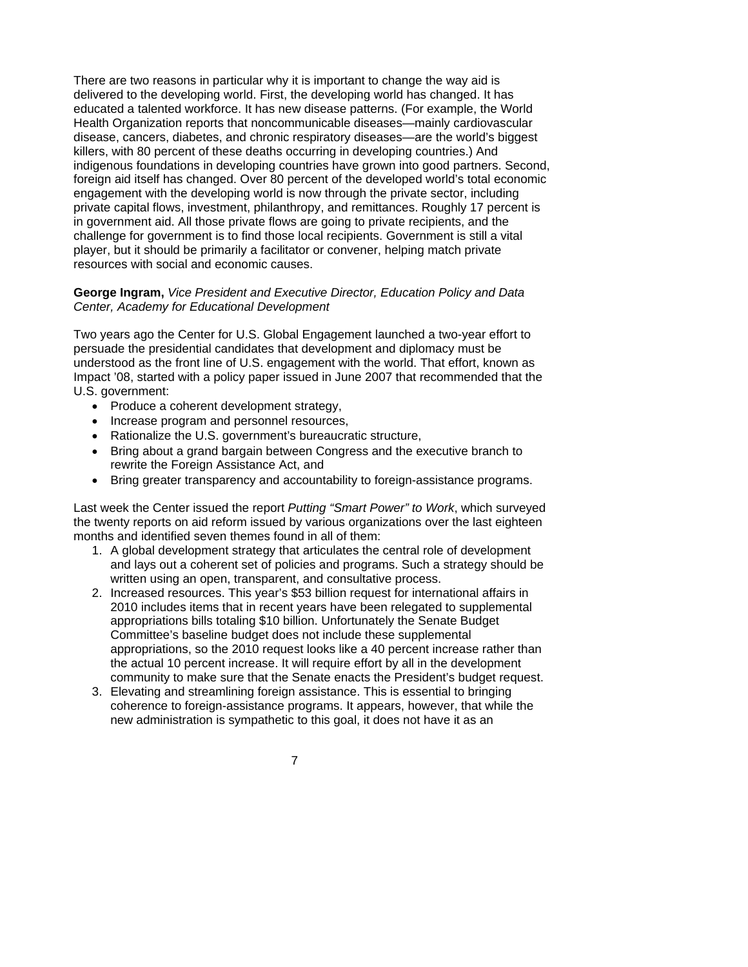There are two reasons in particular why it is important to change the way aid is delivered to the developing world. First, the developing world has changed. It has educated a talented workforce. It has new disease patterns. (For example, the World Health Organization reports that noncommunicable diseases—mainly cardiovascular disease, cancers, diabetes, and chronic respiratory diseases—are the world's biggest killers, with 80 percent of these deaths occurring in developing countries.) And indigenous foundations in developing countries have grown into good partners. Second, foreign aid itself has changed. Over 80 percent of the developed world's total economic engagement with the developing world is now through the private sector, including private capital flows, investment, philanthropy, and remittances. Roughly 17 percent is in government aid. All those private flows are going to private recipients, and the challenge for government is to find those local recipients. Government is still a vital player, but it should be primarily a facilitator or convener, helping match private resources with social and economic causes.

#### **George Ingram,** *Vice President and Executive Director, Education Policy and Data Center, Academy for Educational Development*

Two years ago the Center for U.S. Global Engagement launched a two-year effort to persuade the presidential candidates that development and diplomacy must be understood as the front line of U.S. engagement with the world. That effort, known as Impact '08, started with a policy paper issued in June 2007 that recommended that the U.S. government:

- Produce a coherent development strategy,
- Increase program and personnel resources,
- Rationalize the U.S. government's bureaucratic structure,
- Bring about a grand bargain between Congress and the executive branch to rewrite the Foreign Assistance Act, and
- Bring greater transparency and accountability to foreign-assistance programs.

Last week the Center issued the report *Putting "Smart Power" to Work*, which surveyed the twenty reports on aid reform issued by various organizations over the last eighteen months and identified seven themes found in all of them:

- 1. A global development strategy that articulates the central role of development and lays out a coherent set of policies and programs. Such a strategy should be written using an open, transparent, and consultative process.
- 2. Increased resources. This year's \$53 billion request for international affairs in 2010 includes items that in recent years have been relegated to supplemental appropriations bills totaling \$10 billion. Unfortunately the Senate Budget Committee's baseline budget does not include these supplemental appropriations, so the 2010 request looks like a 40 percent increase rather than the actual 10 percent increase. It will require effort by all in the development community to make sure that the Senate enacts the President's budget request.
- 3. Elevating and streamlining foreign assistance. This is essential to bringing coherence to foreign-assistance programs. It appears, however, that while the new administration is sympathetic to this goal, it does not have it as an
- 7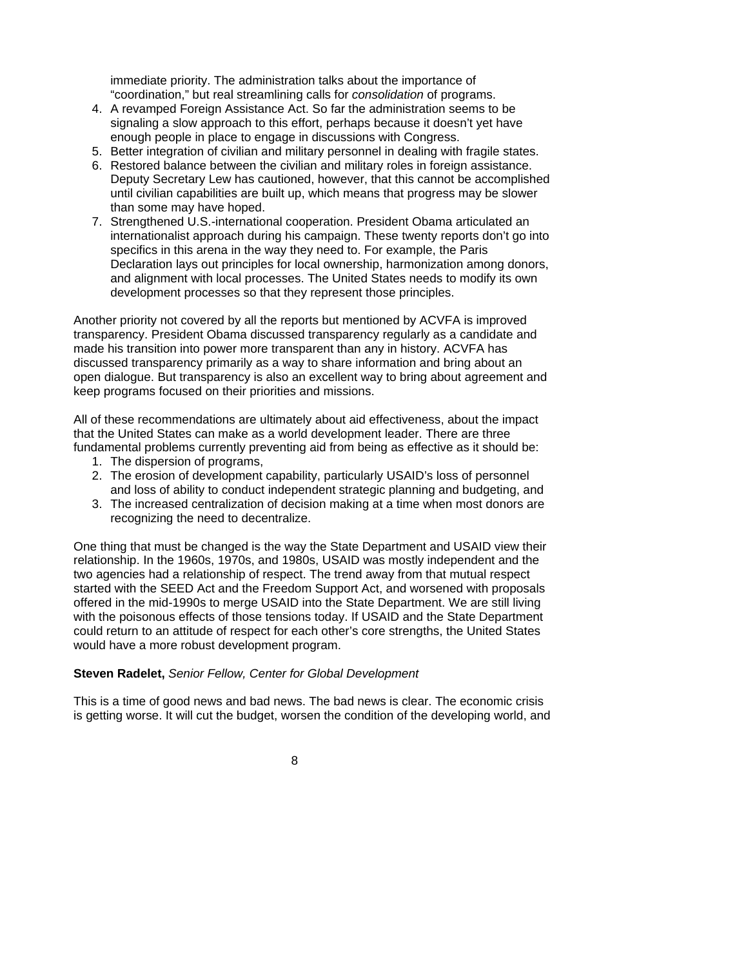immediate priority. The administration talks about the importance of "coordination," but real streamlining calls for *consolidation* of programs.

- 4. A revamped Foreign Assistance Act. So far the administration seems to be signaling a slow approach to this effort, perhaps because it doesn't yet have enough people in place to engage in discussions with Congress.
- 5. Better integration of civilian and military personnel in dealing with fragile states.
- 6. Restored balance between the civilian and military roles in foreign assistance. Deputy Secretary Lew has cautioned, however, that this cannot be accomplished until civilian capabilities are built up, which means that progress may be slower than some may have hoped.
- 7. Strengthened U.S.-international cooperation. President Obama articulated an internationalist approach during his campaign. These twenty reports don't go into specifics in this arena in the way they need to. For example, the Paris Declaration lays out principles for local ownership, harmonization among donors, and alignment with local processes. The United States needs to modify its own development processes so that they represent those principles.

Another priority not covered by all the reports but mentioned by ACVFA is improved transparency. President Obama discussed transparency regularly as a candidate and made his transition into power more transparent than any in history. ACVFA has discussed transparency primarily as a way to share information and bring about an open dialogue. But transparency is also an excellent way to bring about agreement and keep programs focused on their priorities and missions.

All of these recommendations are ultimately about aid effectiveness, about the impact that the United States can make as a world development leader. There are three fundamental problems currently preventing aid from being as effective as it should be:

- 1. The dispersion of programs,
- 2. The erosion of development capability, particularly USAID's loss of personnel
- and loss of ability to conduct independent strategic planning and budgeting, and 3. The increased centralization of decision making at a time when most donors are
- recognizing the need to decentralize.

One thing that must be changed is the way the State Department and USAID view their relationship. In the 1960s, 1970s, and 1980s, USAID was mostly independent and the two agencies had a relationship of respect. The trend away from that mutual respect started with the SEED Act and the Freedom Support Act, and worsened with proposals offered in the mid-1990s to merge USAID into the State Department. We are still living with the poisonous effects of those tensions today. If USAID and the State Department could return to an attitude of respect for each other's core strengths, the United States would have a more robust development program.

### **Steven Radelet,** *Senior Fellow, Center for Global Development*

This is a time of good news and bad news. The bad news is clear. The economic crisis is getting worse. It will cut the budget, worsen the condition of the developing world, and

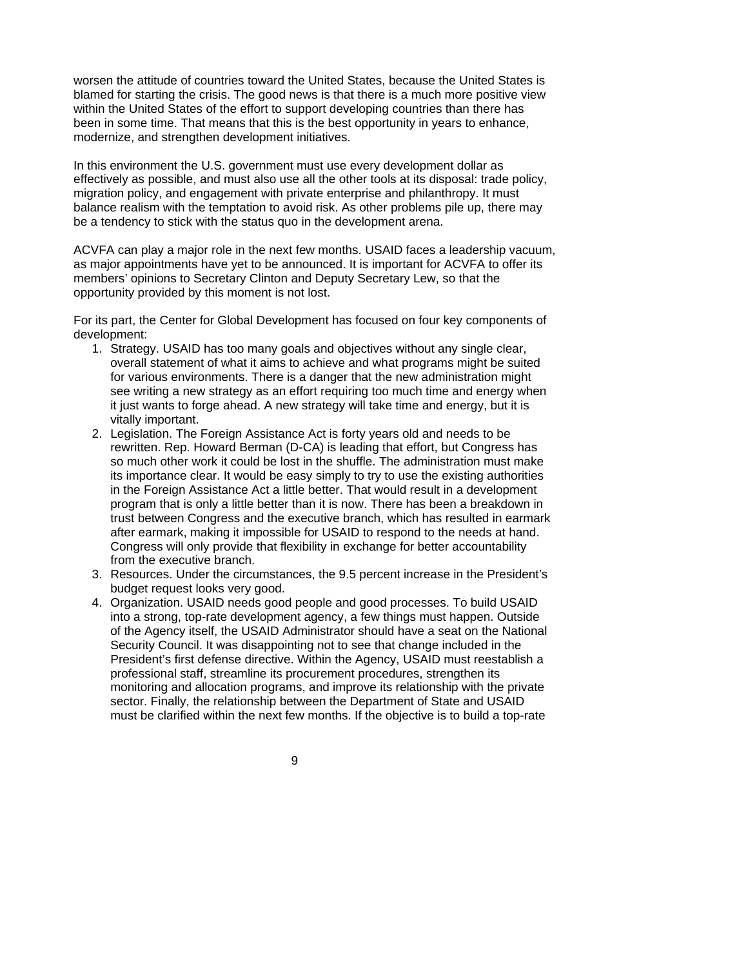worsen the attitude of countries toward the United States, because the United States is blamed for starting the crisis. The good news is that there is a much more positive view within the United States of the effort to support developing countries than there has been in some time. That means that this is the best opportunity in years to enhance, modernize, and strengthen development initiatives.

In this environment the U.S. government must use every development dollar as effectively as possible, and must also use all the other tools at its disposal: trade policy, migration policy, and engagement with private enterprise and philanthropy. It must balance realism with the temptation to avoid risk. As other problems pile up, there may be a tendency to stick with the status quo in the development arena.

ACVFA can play a major role in the next few months. USAID faces a leadership vacuum, as major appointments have yet to be announced. It is important for ACVFA to offer its members' opinions to Secretary Clinton and Deputy Secretary Lew, so that the opportunity provided by this moment is not lost.

For its part, the Center for Global Development has focused on four key components of development:

- 1. Strategy. USAID has too many goals and objectives without any single clear, overall statement of what it aims to achieve and what programs might be suited for various environments. There is a danger that the new administration might see writing a new strategy as an effort requiring too much time and energy when it just wants to forge ahead. A new strategy will take time and energy, but it is vitally important.
- 2. Legislation. The Foreign Assistance Act is forty years old and needs to be rewritten. Rep. Howard Berman (D-CA) is leading that effort, but Congress has so much other work it could be lost in the shuffle. The administration must make its importance clear. It would be easy simply to try to use the existing authorities in the Foreign Assistance Act a little better. That would result in a development program that is only a little better than it is now. There has been a breakdown in trust between Congress and the executive branch, which has resulted in earmark after earmark, making it impossible for USAID to respond to the needs at hand. Congress will only provide that flexibility in exchange for better accountability from the executive branch.
- 3. Resources. Under the circumstances, the 9.5 percent increase in the President's budget request looks very good.
- 4. Organization. USAID needs good people and good processes. To build USAID into a strong, top-rate development agency, a few things must happen. Outside of the Agency itself, the USAID Administrator should have a seat on the National Security Council. It was disappointing not to see that change included in the President's first defense directive. Within the Agency, USAID must reestablish a professional staff, streamline its procurement procedures, strengthen its monitoring and allocation programs, and improve its relationship with the private sector. Finally, the relationship between the Department of State and USAID must be clarified within the next few months. If the objective is to build a top-rate

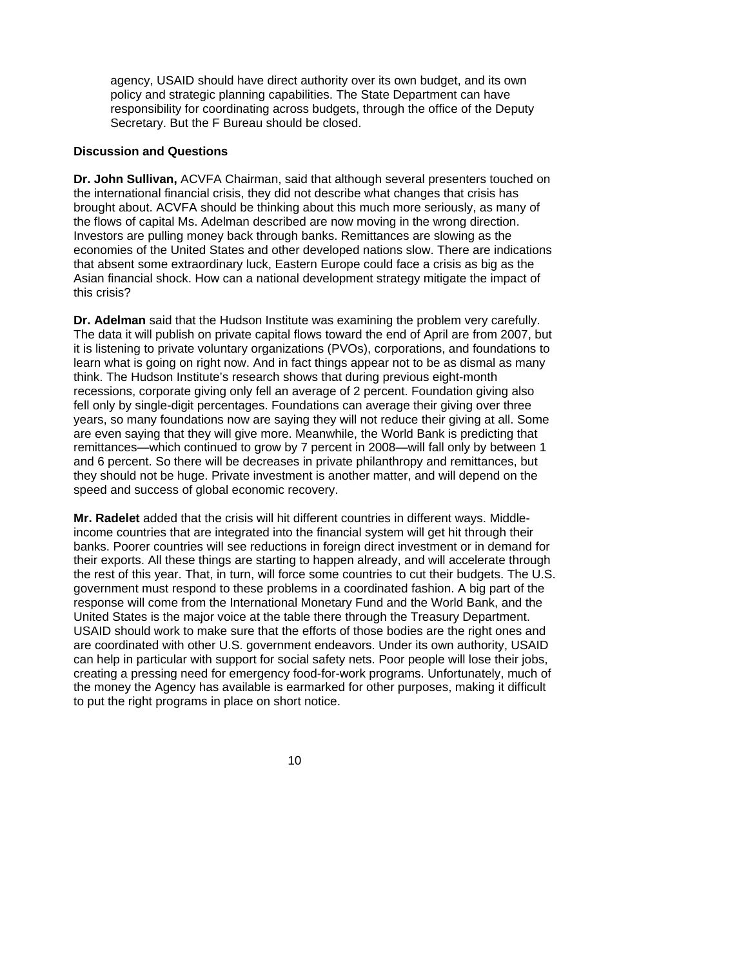agency, USAID should have direct authority over its own budget, and its own policy and strategic planning capabilities. The State Department can have responsibility for coordinating across budgets, through the office of the Deputy Secretary. But the F Bureau should be closed.

#### **Discussion and Questions**

**Dr. John Sullivan,** ACVFA Chairman, said that although several presenters touched on the international financial crisis, they did not describe what changes that crisis has brought about. ACVFA should be thinking about this much more seriously, as many of the flows of capital Ms. Adelman described are now moving in the wrong direction. Investors are pulling money back through banks. Remittances are slowing as the economies of the United States and other developed nations slow. There are indications that absent some extraordinary luck, Eastern Europe could face a crisis as big as the Asian financial shock. How can a national development strategy mitigate the impact of this crisis?

**Dr. Adelman** said that the Hudson Institute was examining the problem very carefully. The data it will publish on private capital flows toward the end of April are from 2007, but it is listening to private voluntary organizations (PVOs), corporations, and foundations to learn what is going on right now. And in fact things appear not to be as dismal as many think. The Hudson Institute's research shows that during previous eight-month recessions, corporate giving only fell an average of 2 percent. Foundation giving also fell only by single-digit percentages. Foundations can average their giving over three years, so many foundations now are saying they will not reduce their giving at all. Some are even saying that they will give more. Meanwhile, the World Bank is predicting that remittances—which continued to grow by 7 percent in 2008—will fall only by between 1 and 6 percent. So there will be decreases in private philanthropy and remittances, but they should not be huge. Private investment is another matter, and will depend on the speed and success of global economic recovery.

**Mr. Radelet** added that the crisis will hit different countries in different ways. Middleincome countries that are integrated into the financial system will get hit through their banks. Poorer countries will see reductions in foreign direct investment or in demand for their exports. All these things are starting to happen already, and will accelerate through the rest of this year. That, in turn, will force some countries to cut their budgets. The U.S. government must respond to these problems in a coordinated fashion. A big part of the response will come from the International Monetary Fund and the World Bank, and the United States is the major voice at the table there through the Treasury Department. USAID should work to make sure that the efforts of those bodies are the right ones and are coordinated with other U.S. government endeavors. Under its own authority, USAID can help in particular with support for social safety nets. Poor people will lose their jobs, creating a pressing need for emergency food-for-work programs. Unfortunately, much of the money the Agency has available is earmarked for other purposes, making it difficult to put the right programs in place on short notice.

 $10<sub>1</sub>$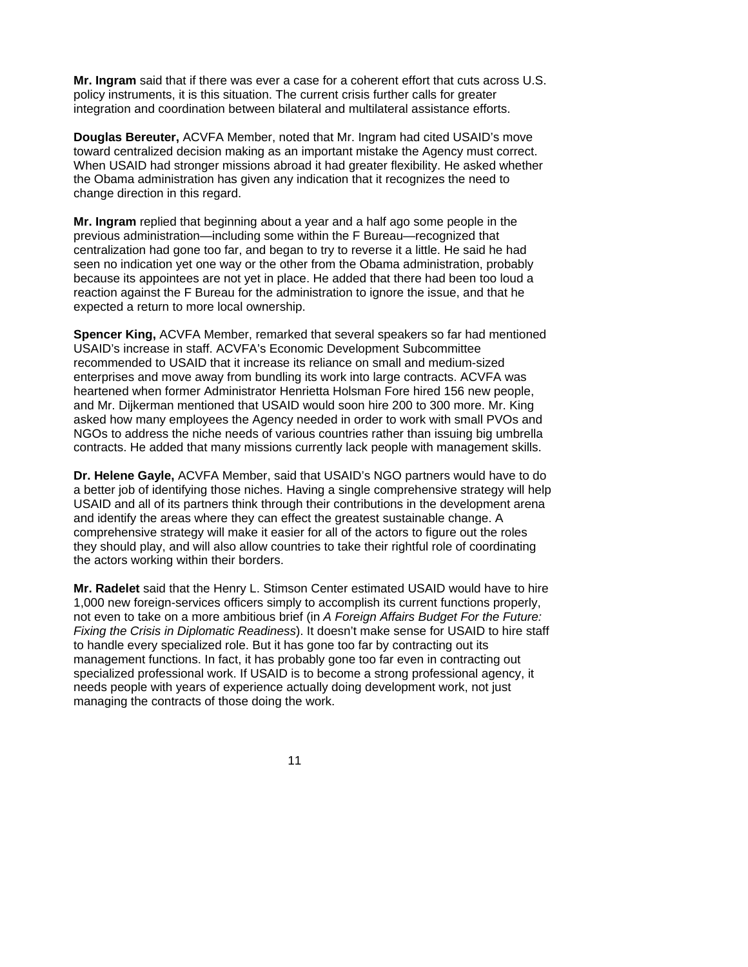**Mr. Ingram** said that if there was ever a case for a coherent effort that cuts across U.S. policy instruments, it is this situation. The current crisis further calls for greater integration and coordination between bilateral and multilateral assistance efforts.

**Douglas Bereuter,** ACVFA Member, noted that Mr. Ingram had cited USAID's move toward centralized decision making as an important mistake the Agency must correct. When USAID had stronger missions abroad it had greater flexibility. He asked whether the Obama administration has given any indication that it recognizes the need to change direction in this regard.

**Mr. Ingram** replied that beginning about a year and a half ago some people in the previous administration—including some within the F Bureau—recognized that centralization had gone too far, and began to try to reverse it a little. He said he had seen no indication yet one way or the other from the Obama administration, probably because its appointees are not yet in place. He added that there had been too loud a reaction against the F Bureau for the administration to ignore the issue, and that he expected a return to more local ownership.

**Spencer King,** ACVFA Member, remarked that several speakers so far had mentioned USAID's increase in staff. ACVFA's Economic Development Subcommittee recommended to USAID that it increase its reliance on small and medium-sized enterprises and move away from bundling its work into large contracts. ACVFA was heartened when former Administrator Henrietta Holsman Fore hired 156 new people, and Mr. Dijkerman mentioned that USAID would soon hire 200 to 300 more. Mr. King asked how many employees the Agency needed in order to work with small PVOs and NGOs to address the niche needs of various countries rather than issuing big umbrella contracts. He added that many missions currently lack people with management skills.

**Dr. Helene Gayle,** ACVFA Member, said that USAID's NGO partners would have to do a better job of identifying those niches. Having a single comprehensive strategy will help USAID and all of its partners think through their contributions in the development arena and identify the areas where they can effect the greatest sustainable change. A comprehensive strategy will make it easier for all of the actors to figure out the roles they should play, and will also allow countries to take their rightful role of coordinating the actors working within their borders.

**Mr. Radelet** said that the Henry L. Stimson Center estimated USAID would have to hire 1,000 new foreign-services officers simply to accomplish its current functions properly, not even to take on a more ambitious brief (in *A Foreign Affairs Budget For the Future: Fixing the Crisis in Diplomatic Readiness*). It doesn't make sense for USAID to hire staff to handle every specialized role. But it has gone too far by contracting out its management functions. In fact, it has probably gone too far even in contracting out specialized professional work. If USAID is to become a strong professional agency, it needs people with years of experience actually doing development work, not just managing the contracts of those doing the work.

 $11$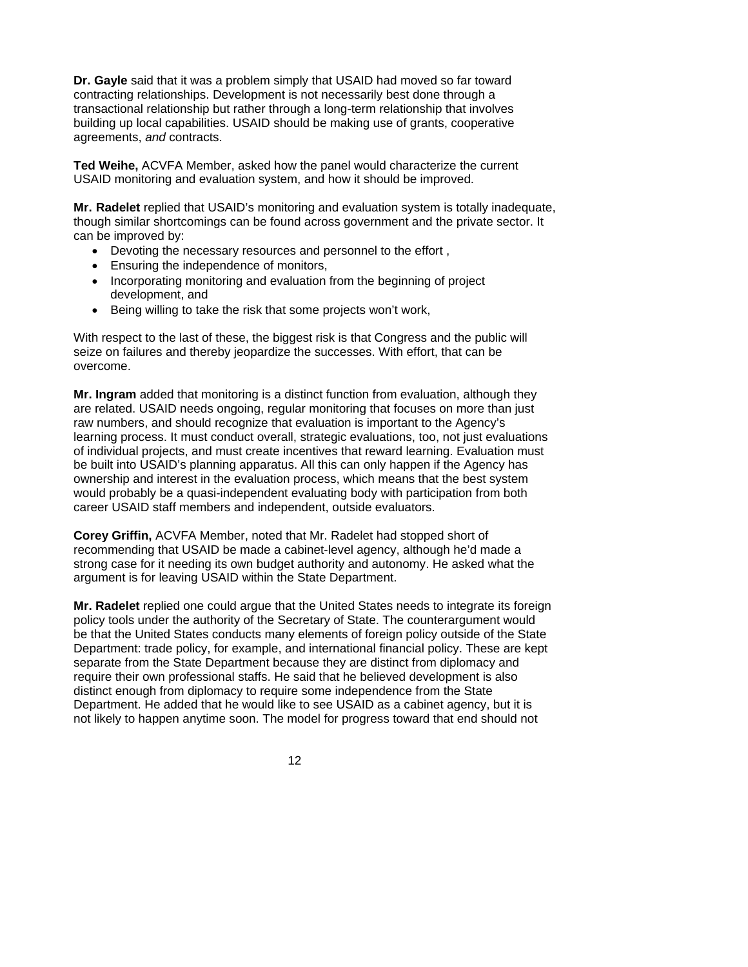**Dr. Gayle** said that it was a problem simply that USAID had moved so far toward contracting relationships. Development is not necessarily best done through a transactional relationship but rather through a long-term relationship that involves building up local capabilities. USAID should be making use of grants, cooperative agreements, *and* contracts.

**Ted Weihe,** ACVFA Member, asked how the panel would characterize the current USAID monitoring and evaluation system, and how it should be improved.

**Mr. Radelet** replied that USAID's monitoring and evaluation system is totally inadequate, though similar shortcomings can be found across government and the private sector. It can be improved by:

- Devoting the necessary resources and personnel to the effort ,
- Ensuring the independence of monitors,
- Incorporating monitoring and evaluation from the beginning of project development, and
- Being willing to take the risk that some projects won't work,

With respect to the last of these, the biggest risk is that Congress and the public will seize on failures and thereby jeopardize the successes. With effort, that can be overcome.

**Mr. Ingram** added that monitoring is a distinct function from evaluation, although they are related. USAID needs ongoing, regular monitoring that focuses on more than just raw numbers, and should recognize that evaluation is important to the Agency's learning process. It must conduct overall, strategic evaluations, too, not just evaluations of individual projects, and must create incentives that reward learning. Evaluation must be built into USAID's planning apparatus. All this can only happen if the Agency has ownership and interest in the evaluation process, which means that the best system would probably be a quasi-independent evaluating body with participation from both career USAID staff members and independent, outside evaluators.

**Corey Griffin,** ACVFA Member, noted that Mr. Radelet had stopped short of recommending that USAID be made a cabinet-level agency, although he'd made a strong case for it needing its own budget authority and autonomy. He asked what the argument is for leaving USAID within the State Department.

**Mr. Radelet** replied one could argue that the United States needs to integrate its foreign policy tools under the authority of the Secretary of State. The counterargument would be that the United States conducts many elements of foreign policy outside of the State Department: trade policy, for example, and international financial policy. These are kept separate from the State Department because they are distinct from diplomacy and require their own professional staffs. He said that he believed development is also distinct enough from diplomacy to require some independence from the State Department. He added that he would like to see USAID as a cabinet agency, but it is not likely to happen anytime soon. The model for progress toward that end should not

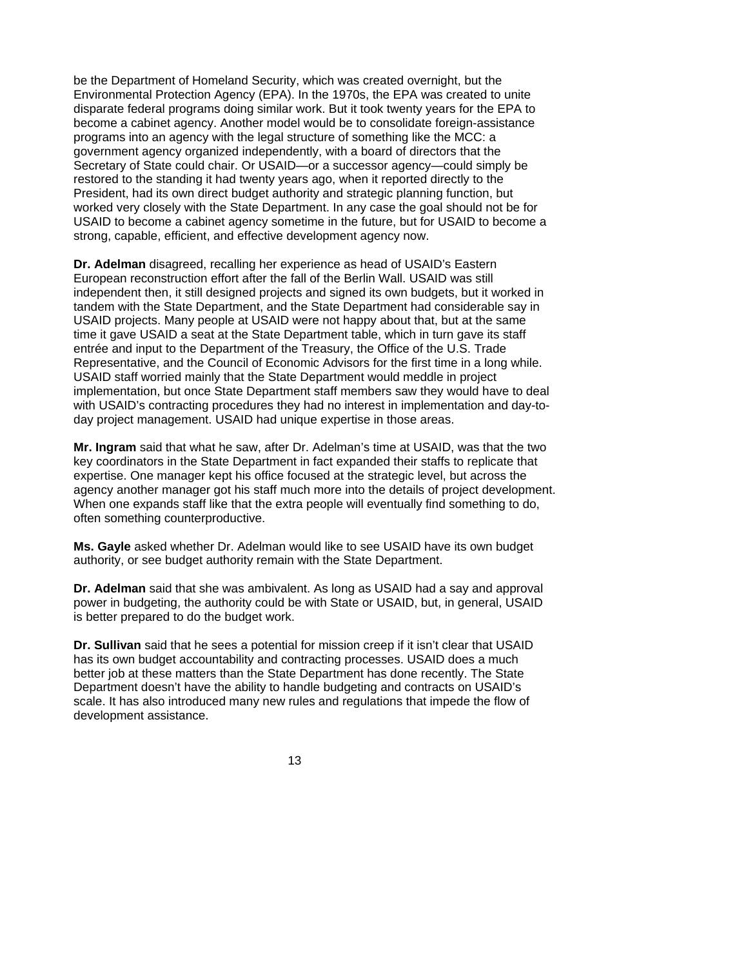be the Department of Homeland Security, which was created overnight, but the Environmental Protection Agency (EPA). In the 1970s, the EPA was created to unite disparate federal programs doing similar work. But it took twenty years for the EPA to become a cabinet agency. Another model would be to consolidate foreign-assistance programs into an agency with the legal structure of something like the MCC: a government agency organized independently, with a board of directors that the Secretary of State could chair. Or USAID—or a successor agency—could simply be restored to the standing it had twenty years ago, when it reported directly to the President, had its own direct budget authority and strategic planning function, but worked very closely with the State Department. In any case the goal should not be for USAID to become a cabinet agency sometime in the future, but for USAID to become a strong, capable, efficient, and effective development agency now.

**Dr. Adelman** disagreed, recalling her experience as head of USAID's Eastern European reconstruction effort after the fall of the Berlin Wall. USAID was still independent then, it still designed projects and signed its own budgets, but it worked in tandem with the State Department, and the State Department had considerable say in USAID projects. Many people at USAID were not happy about that, but at the same time it gave USAID a seat at the State Department table, which in turn gave its staff entrée and input to the Department of the Treasury, the Office of the U.S. Trade Representative, and the Council of Economic Advisors for the first time in a long while. USAID staff worried mainly that the State Department would meddle in project implementation, but once State Department staff members saw they would have to deal with USAID's contracting procedures they had no interest in implementation and day-today project management. USAID had unique expertise in those areas.

**Mr. Ingram** said that what he saw, after Dr. Adelman's time at USAID, was that the two key coordinators in the State Department in fact expanded their staffs to replicate that expertise. One manager kept his office focused at the strategic level, but across the agency another manager got his staff much more into the details of project development. When one expands staff like that the extra people will eventually find something to do, often something counterproductive.

**Ms. Gayle** asked whether Dr. Adelman would like to see USAID have its own budget authority, or see budget authority remain with the State Department.

**Dr. Adelman** said that she was ambivalent. As long as USAID had a say and approval power in budgeting, the authority could be with State or USAID, but, in general, USAID is better prepared to do the budget work.

**Dr. Sullivan** said that he sees a potential for mission creep if it isn't clear that USAID has its own budget accountability and contracting processes. USAID does a much better job at these matters than the State Department has done recently. The State Department doesn't have the ability to handle budgeting and contracts on USAID's scale. It has also introduced many new rules and regulations that impede the flow of development assistance.

 $13<sup>13</sup>$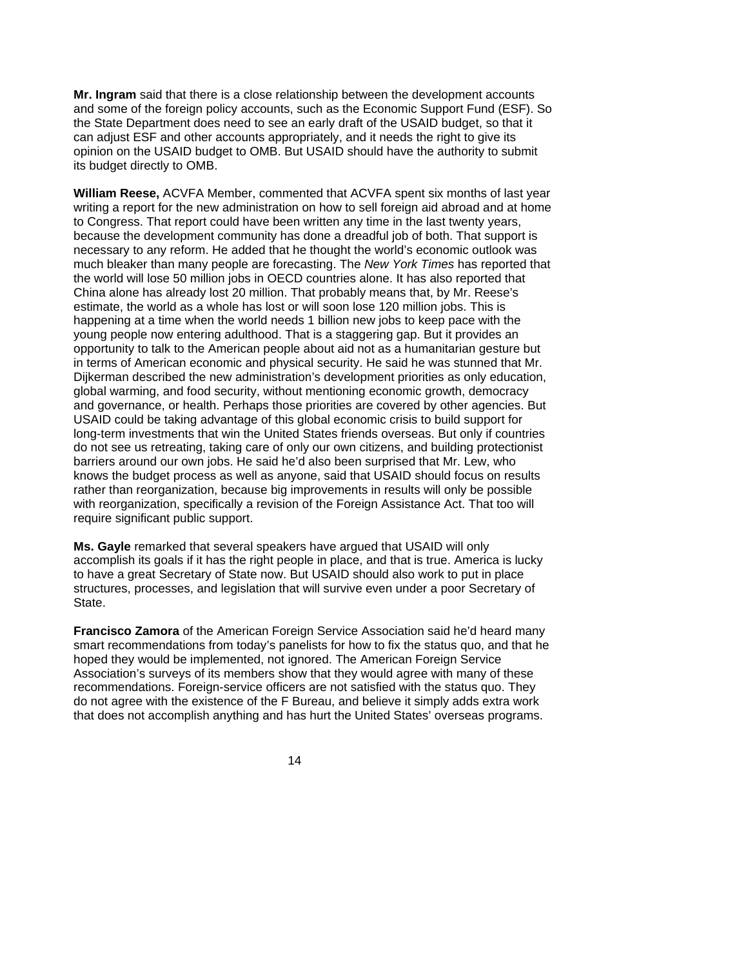**Mr. Ingram** said that there is a close relationship between the development accounts and some of the foreign policy accounts, such as the Economic Support Fund (ESF). So the State Department does need to see an early draft of the USAID budget, so that it can adjust ESF and other accounts appropriately, and it needs the right to give its opinion on the USAID budget to OMB. But USAID should have the authority to submit its budget directly to OMB.

**William Reese,** ACVFA Member, commented that ACVFA spent six months of last year writing a report for the new administration on how to sell foreign aid abroad and at home to Congress. That report could have been written any time in the last twenty years, because the development community has done a dreadful job of both. That support is necessary to any reform. He added that he thought the world's economic outlook was much bleaker than many people are forecasting. The *New York Times* has reported that the world will lose 50 million jobs in OECD countries alone. It has also reported that China alone has already lost 20 million. That probably means that, by Mr. Reese's estimate, the world as a whole has lost or will soon lose 120 million jobs. This is happening at a time when the world needs 1 billion new jobs to keep pace with the young people now entering adulthood. That is a staggering gap. But it provides an opportunity to talk to the American people about aid not as a humanitarian gesture but in terms of American economic and physical security. He said he was stunned that Mr. Dijkerman described the new administration's development priorities as only education, global warming, and food security, without mentioning economic growth, democracy and governance, or health. Perhaps those priorities are covered by other agencies. But USAID could be taking advantage of this global economic crisis to build support for long-term investments that win the United States friends overseas. But only if countries do not see us retreating, taking care of only our own citizens, and building protectionist barriers around our own jobs. He said he'd also been surprised that Mr. Lew, who knows the budget process as well as anyone, said that USAID should focus on results rather than reorganization, because big improvements in results will only be possible with reorganization, specifically a revision of the Foreign Assistance Act. That too will require significant public support.

**Ms. Gayle** remarked that several speakers have argued that USAID will only accomplish its goals if it has the right people in place, and that is true. America is lucky to have a great Secretary of State now. But USAID should also work to put in place structures, processes, and legislation that will survive even under a poor Secretary of State.

**Francisco Zamora** of the American Foreign Service Association said he'd heard many smart recommendations from today's panelists for how to fix the status quo, and that he hoped they would be implemented, not ignored. The American Foreign Service Association's surveys of its members show that they would agree with many of these recommendations. Foreign-service officers are not satisfied with the status quo. They do not agree with the existence of the F Bureau, and believe it simply adds extra work that does not accomplish anything and has hurt the United States' overseas programs.

 $\sim$  14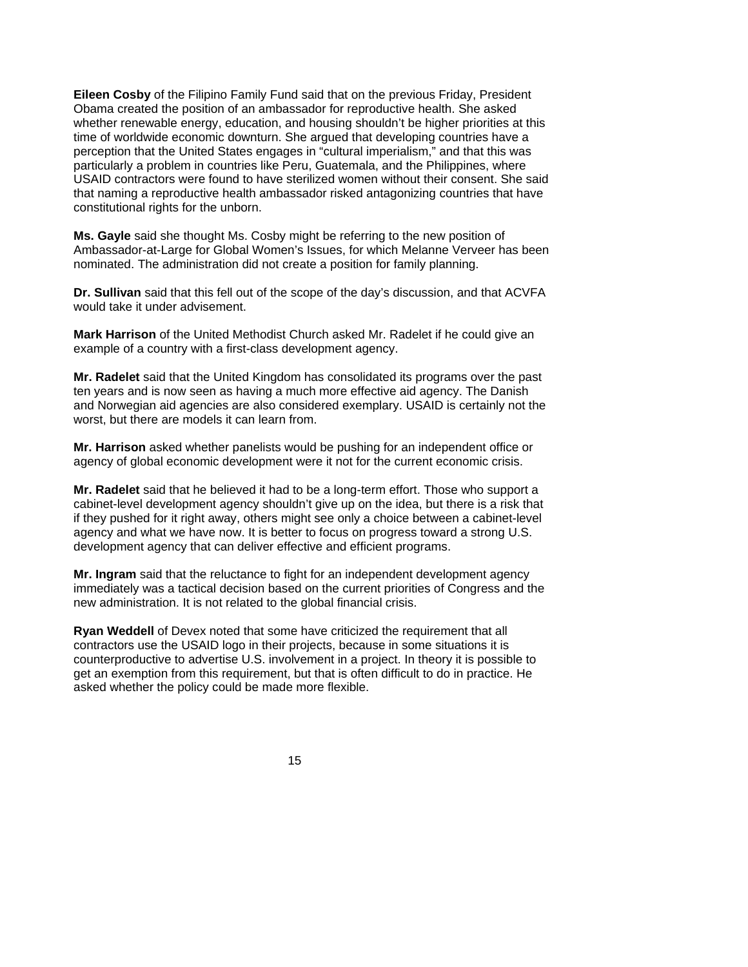**Eileen Cosby** of the Filipino Family Fund said that on the previous Friday, President Obama created the position of an ambassador for reproductive health. She asked whether renewable energy, education, and housing shouldn't be higher priorities at this time of worldwide economic downturn. She argued that developing countries have a perception that the United States engages in "cultural imperialism," and that this was particularly a problem in countries like Peru, Guatemala, and the Philippines, where USAID contractors were found to have sterilized women without their consent. She said that naming a reproductive health ambassador risked antagonizing countries that have constitutional rights for the unborn.

**Ms. Gayle** said she thought Ms. Cosby might be referring to the new position of Ambassador-at-Large for Global Women's Issues, for which Melanne Verveer has been nominated. The administration did not create a position for family planning.

**Dr. Sullivan** said that this fell out of the scope of the day's discussion, and that ACVFA would take it under advisement.

**Mark Harrison** of the United Methodist Church asked Mr. Radelet if he could give an example of a country with a first-class development agency.

**Mr. Radelet** said that the United Kingdom has consolidated its programs over the past ten years and is now seen as having a much more effective aid agency. The Danish and Norwegian aid agencies are also considered exemplary. USAID is certainly not the worst, but there are models it can learn from.

**Mr. Harrison** asked whether panelists would be pushing for an independent office or agency of global economic development were it not for the current economic crisis.

**Mr. Radelet** said that he believed it had to be a long-term effort. Those who support a cabinet-level development agency shouldn't give up on the idea, but there is a risk that if they pushed for it right away, others might see only a choice between a cabinet-level agency and what we have now. It is better to focus on progress toward a strong U.S. development agency that can deliver effective and efficient programs.

**Mr. Ingram** said that the reluctance to fight for an independent development agency immediately was a tactical decision based on the current priorities of Congress and the new administration. It is not related to the global financial crisis.

**Ryan Weddell** of Devex noted that some have criticized the requirement that all contractors use the USAID logo in their projects, because in some situations it is counterproductive to advertise U.S. involvement in a project. In theory it is possible to get an exemption from this requirement, but that is often difficult to do in practice. He asked whether the policy could be made more flexible.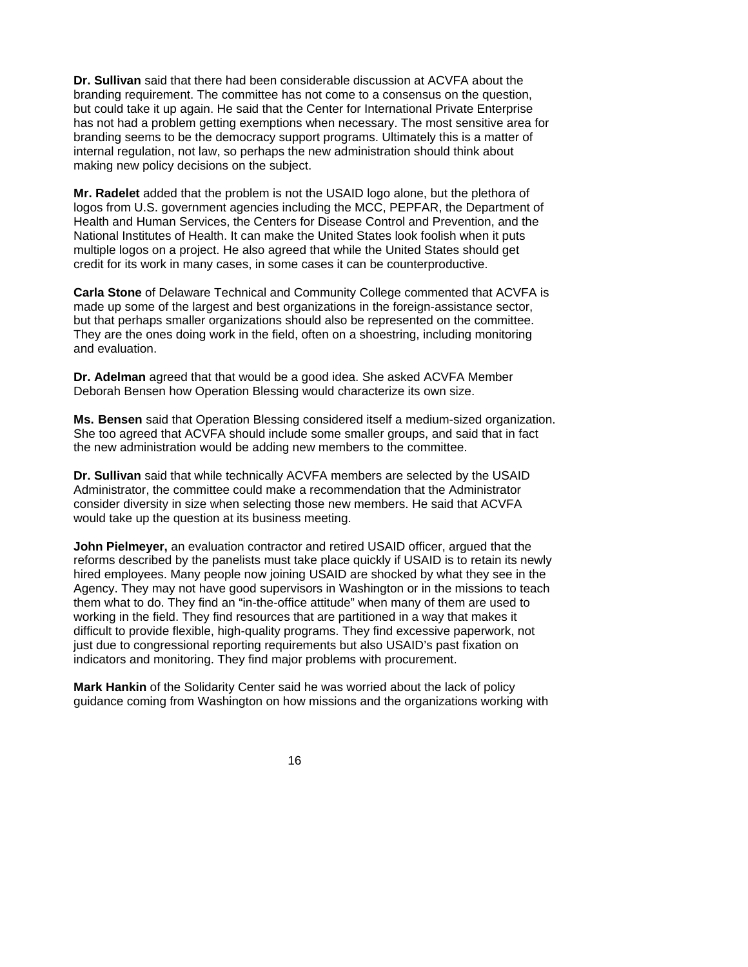**Dr. Sullivan** said that there had been considerable discussion at ACVFA about the branding requirement. The committee has not come to a consensus on the question, but could take it up again. He said that the Center for International Private Enterprise has not had a problem getting exemptions when necessary. The most sensitive area for branding seems to be the democracy support programs. Ultimately this is a matter of internal regulation, not law, so perhaps the new administration should think about making new policy decisions on the subject.

**Mr. Radelet** added that the problem is not the USAID logo alone, but the plethora of logos from U.S. government agencies including the MCC, PEPFAR, the Department of Health and Human Services, the Centers for Disease Control and Prevention, and the National Institutes of Health. It can make the United States look foolish when it puts multiple logos on a project. He also agreed that while the United States should get credit for its work in many cases, in some cases it can be counterproductive.

**Carla Stone** of Delaware Technical and Community College commented that ACVFA is made up some of the largest and best organizations in the foreign-assistance sector, but that perhaps smaller organizations should also be represented on the committee. They are the ones doing work in the field, often on a shoestring, including monitoring and evaluation.

**Dr. Adelman** agreed that that would be a good idea. She asked ACVFA Member Deborah Bensen how Operation Blessing would characterize its own size.

**Ms. Bensen** said that Operation Blessing considered itself a medium-sized organization. She too agreed that ACVFA should include some smaller groups, and said that in fact the new administration would be adding new members to the committee.

**Dr. Sullivan** said that while technically ACVFA members are selected by the USAID Administrator, the committee could make a recommendation that the Administrator consider diversity in size when selecting those new members. He said that ACVFA would take up the question at its business meeting.

**John Pielmeyer,** an evaluation contractor and retired USAID officer, argued that the reforms described by the panelists must take place quickly if USAID is to retain its newly hired employees. Many people now joining USAID are shocked by what they see in the Agency. They may not have good supervisors in Washington or in the missions to teach them what to do. They find an "in-the-office attitude" when many of them are used to working in the field. They find resources that are partitioned in a way that makes it difficult to provide flexible, high-quality programs. They find excessive paperwork, not just due to congressional reporting requirements but also USAID's past fixation on indicators and monitoring. They find major problems with procurement.

**Mark Hankin** of the Solidarity Center said he was worried about the lack of policy guidance coming from Washington on how missions and the organizations working with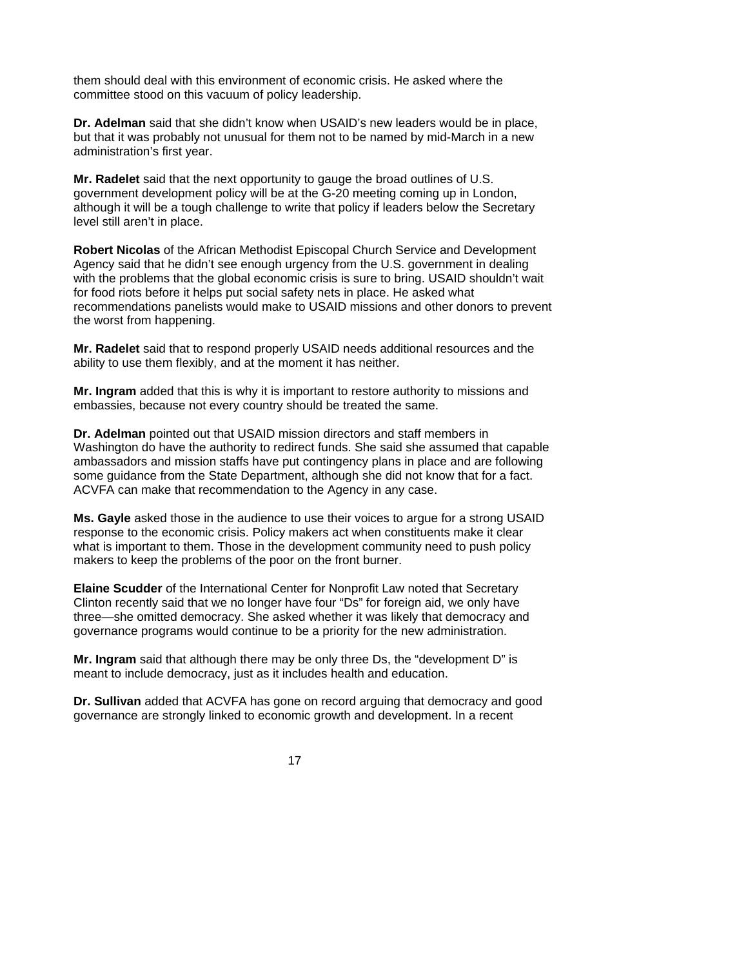them should deal with this environment of economic crisis. He asked where the committee stood on this vacuum of policy leadership.

**Dr. Adelman** said that she didn't know when USAID's new leaders would be in place, but that it was probably not unusual for them not to be named by mid-March in a new administration's first year.

**Mr. Radelet** said that the next opportunity to gauge the broad outlines of U.S. government development policy will be at the G-20 meeting coming up in London, although it will be a tough challenge to write that policy if leaders below the Secretary level still aren't in place.

**Robert Nicolas** of the African Methodist Episcopal Church Service and Development Agency said that he didn't see enough urgency from the U.S. government in dealing with the problems that the global economic crisis is sure to bring. USAID shouldn't wait for food riots before it helps put social safety nets in place. He asked what recommendations panelists would make to USAID missions and other donors to prevent the worst from happening.

**Mr. Radelet** said that to respond properly USAID needs additional resources and the ability to use them flexibly, and at the moment it has neither.

**Mr. Ingram** added that this is why it is important to restore authority to missions and embassies, because not every country should be treated the same.

**Dr. Adelman** pointed out that USAID mission directors and staff members in Washington do have the authority to redirect funds. She said she assumed that capable ambassadors and mission staffs have put contingency plans in place and are following some guidance from the State Department, although she did not know that for a fact. ACVFA can make that recommendation to the Agency in any case.

**Ms. Gayle** asked those in the audience to use their voices to argue for a strong USAID response to the economic crisis. Policy makers act when constituents make it clear what is important to them. Those in the development community need to push policy makers to keep the problems of the poor on the front burner.

**Elaine Scudder** of the International Center for Nonprofit Law noted that Secretary Clinton recently said that we no longer have four "Ds" for foreign aid, we only have three—she omitted democracy. She asked whether it was likely that democracy and governance programs would continue to be a priority for the new administration.

**Mr. Ingram** said that although there may be only three Ds, the "development D" is meant to include democracy, just as it includes health and education.

**Dr. Sullivan** added that ACVFA has gone on record arguing that democracy and good governance are strongly linked to economic growth and development. In a recent

 $17$